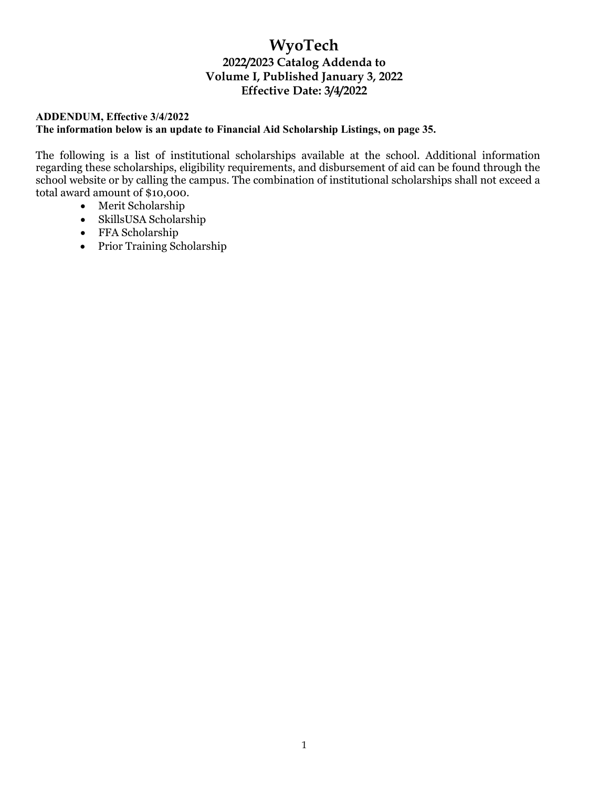# **WyoTech 2022/2023 Catalog Addenda to Volume I, Published January 3, 2022 Effective Date: 3/4/2022**

### **ADDENDUM, Effective 3/4/2022**

#### **The information below is an update to Financial Aid Scholarship Listings, on page 35.**

The following is a list of institutional scholarships available at the school. Additional information regarding these scholarships, eligibility requirements, and disbursement of aid can be found through the school website or by calling the campus. The combination of institutional scholarships shall not exceed a total award amount of \$10,000.

- Merit Scholarship
- SkillsUSA Scholarship
- FFA Scholarship
- Prior Training Scholarship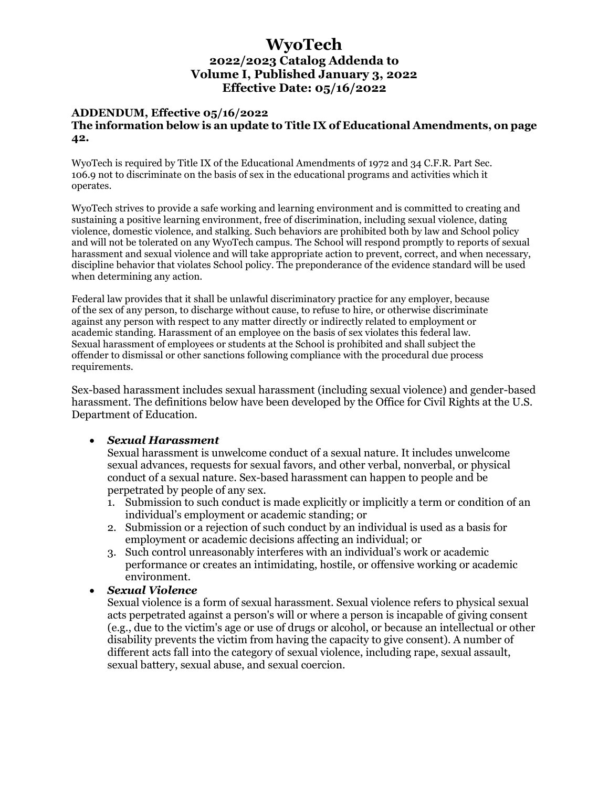# **WyoTech 2022/2023 Catalog Addenda to Volume I, Published January 3, 2022 Effective Date: 05/16/2022**

### **ADDENDUM, Effective 05/16/2022**

### **The information below is an update to Title IX of Educational Amendments, on page 42.**

WyoTech is required by Title IX of the Educational Amendments of 1972 and 34 C.F.R. Part Sec. 106.9 not to discriminate on the basis of sex in the educational programs and activities which it operates.

WyoTech strives to provide a safe working and learning environment and is committed to creating and sustaining a positive learning environment, free of discrimination, including sexual violence, dating violence, domestic violence, and stalking. Such behaviors are prohibited both by law and School policy and will not be tolerated on any WyoTech campus. The School will respond promptly to reports of sexual harassment and sexual violence and will take appropriate action to prevent, correct, and when necessary, discipline behavior that violates School policy. The preponderance of the evidence standard will be used when determining any action.

Federal law provides that it shall be unlawful discriminatory practice for any employer, because of the sex of any person, to discharge without cause, to refuse to hire, or otherwise discriminate against any person with respect to any matter directly or indirectly related to employment or academic standing. Harassment of an employee on the basis of sex violates this federal law. Sexual harassment of employees or students at the School is prohibited and shall subject the offender to dismissal or other sanctions following compliance with the procedural due process requirements.

Sex-based harassment includes sexual harassment (including sexual violence) and gender-based harassment. The definitions below have been developed by the Office for Civil Rights at the U.S. Department of Education.

# • *Sexual Harassment*

Sexual harassment is unwelcome conduct of a sexual nature. It includes unwelcome sexual advances, requests for sexual favors, and other verbal, nonverbal, or physical conduct of a sexual nature. Sex-based harassment can happen to people and be perpetrated by people of any sex.

- 1. Submission to such conduct is made explicitly or implicitly a term or condition of an individual's employment or academic standing; or
- 2. Submission or a rejection of such conduct by an individual is used as a basis for employment or academic decisions affecting an individual; or
- 3. Such control unreasonably interferes with an individual's work or academic performance or creates an intimidating, hostile, or offensive working or academic environment.

# • *Sexual Violence*

Sexual violence is a form of sexual harassment. Sexual violence refers to physical sexual acts perpetrated against a person's will or where a person is incapable of giving consent (e.g., due to the victim's age or use of drugs or alcohol, or because an intellectual or other disability prevents the victim from having the capacity to give consent). A number of different acts fall into the category of sexual violence, including rape, sexual assault, sexual battery, sexual abuse, and sexual coercion.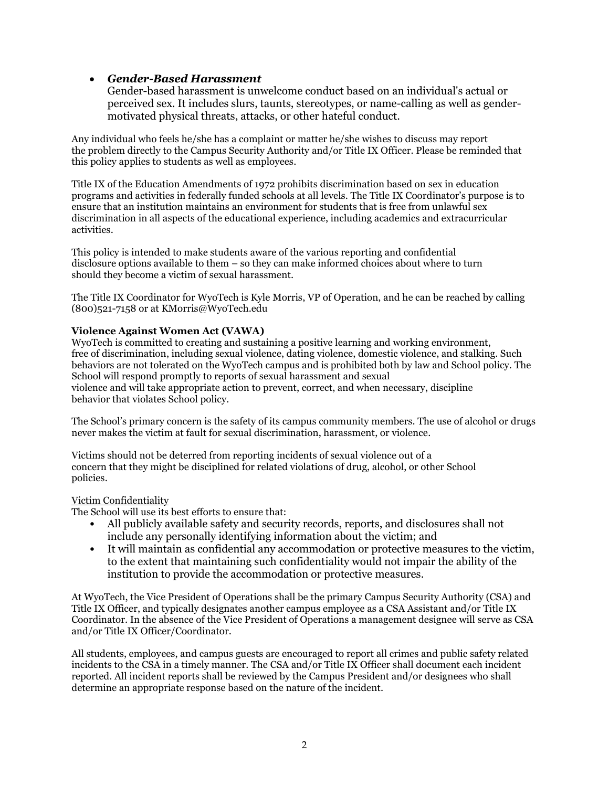# • *Gender-Based Harassment*

Gender-based harassment is unwelcome conduct based on an individual's actual or perceived sex. It includes slurs, taunts, stereotypes, or name-calling as well as gendermotivated physical threats, attacks, or other hateful conduct.

Any individual who feels he/she has a complaint or matter he/she wishes to discuss may report the problem directly to the Campus Security Authority and/or Title IX Officer. Please be reminded that this policy applies to students as well as employees.

Title IX of the Education Amendments of 1972 prohibits discrimination based on sex in education programs and activities in federally funded schools at all levels. The Title IX Coordinator's purpose is to ensure that an institution maintains an environment for students that is free from unlawful sex discrimination in all aspects of the educational experience, including academics and extracurricular activities.

This policy is intended to make students aware of the various reporting and confidential disclosure options available to them – so they can make informed choices about where to turn should they become a victim of sexual harassment.

The Title IX Coordinator for WyoTech is Kyle Morris, VP of Operation, and he can be reached by calling (800)521-7158 or at KMorris@WyoTech.edu

### **Violence Against Women Act (VAWA)**

WyoTech is committed to creating and sustaining a positive learning and working environment, free of discrimination, including sexual violence, dating violence, domestic violence, and stalking. Such behaviors are not tolerated on the WyoTech campus and is prohibited both by law and School policy. The School will respond promptly to reports of sexual harassment and sexual violence and will take appropriate action to prevent, correct, and when necessary, discipline behavior that violates School policy.

The School's primary concern is the safety of its campus community members. The use of alcohol or drugs never makes the victim at fault for sexual discrimination, harassment, or violence.

Victims should not be deterred from reporting incidents of sexual violence out of a concern that they might be disciplined for related violations of drug, alcohol, or other School policies.

#### Victim Confidentiality

The School will use its best efforts to ensure that:

- All publicly available safety and security records, reports, and disclosures shall not include any personally identifying information about the victim; and
- It will maintain as confidential any accommodation or protective measures to the victim, to the extent that maintaining such confidentiality would not impair the ability of the institution to provide the accommodation or protective measures.

At WyoTech, the Vice President of Operations shall be the primary Campus Security Authority (CSA) and Title IX Officer, and typically designates another campus employee as a CSA Assistant and/or Title IX Coordinator. In the absence of the Vice President of Operations a management designee will serve as CSA and/or Title IX Officer/Coordinator.

All students, employees, and campus guests are encouraged to report all crimes and public safety related incidents to the CSA in a timely manner. The CSA and/or Title IX Officer shall document each incident reported. All incident reports shall be reviewed by the Campus President and/or designees who shall determine an appropriate response based on the nature of the incident.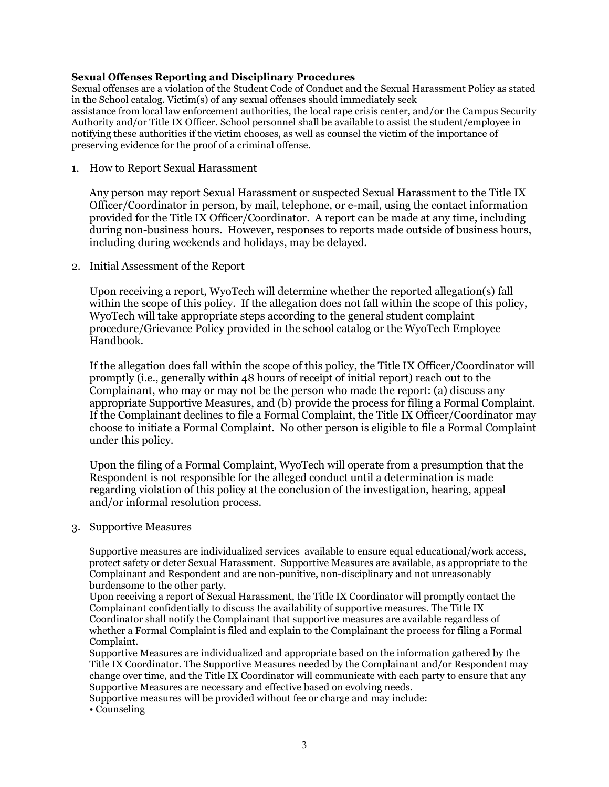#### **Sexual Offenses Reporting and Disciplinary Procedures**

Sexual offenses are a violation of the Student Code of Conduct and the Sexual Harassment Policy as stated in the School catalog. Victim(s) of any sexual offenses should immediately seek assistance from local law enforcement authorities, the local rape crisis center, and/or the Campus Security Authority and/or Title IX Officer. School personnel shall be available to assist the student/employee in notifying these authorities if the victim chooses, as well as counsel the victim of the importance of preserving evidence for the proof of a criminal offense.

1. How to Report Sexual Harassment

Any person may report Sexual Harassment or suspected Sexual Harassment to the Title IX Officer/Coordinator in person, by mail, telephone, or e-mail, using the contact information provided for the Title IX Officer/Coordinator. A report can be made at any time, including during non-business hours. However, responses to reports made outside of business hours, including during weekends and holidays, may be delayed.

2. Initial Assessment of the Report

Upon receiving a report, WyoTech will determine whether the reported allegation(s) fall within the scope of this policy. If the allegation does not fall within the scope of this policy, WyoTech will take appropriate steps according to the general student complaint procedure/Grievance Policy provided in the school catalog or the WyoTech Employee Handbook.

If the allegation does fall within the scope of this policy, the Title IX Officer/Coordinator will promptly (i.e., generally within 48 hours of receipt of initial report) reach out to the Complainant, who may or may not be the person who made the report: (a) discuss any appropriate Supportive Measures, and (b) provide the process for filing a Formal Complaint. If the Complainant declines to file a Formal Complaint, the Title IX Officer/Coordinator may choose to initiate a Formal Complaint. No other person is eligible to file a Formal Complaint under this policy.

Upon the filing of a Formal Complaint, WyoTech will operate from a presumption that the Respondent is not responsible for the alleged conduct until a determination is made regarding violation of this policy at the conclusion of the investigation, hearing, appeal and/or informal resolution process.

3. Supportive Measures

Supportive measures are individualized services available to ensure equal educational/work access, protect safety or deter Sexual Harassment. Supportive Measures are available, as appropriate to the Complainant and Respondent and are non-punitive, non-disciplinary and not unreasonably burdensome to the other party.

Upon receiving a report of Sexual Harassment, the Title IX Coordinator will promptly contact the Complainant confidentially to discuss the availability of supportive measures. The Title IX Coordinator shall notify the Complainant that supportive measures are available regardless of whether a Formal Complaint is filed and explain to the Complainant the process for filing a Formal Complaint.

Supportive Measures are individualized and appropriate based on the information gathered by the Title IX Coordinator. The Supportive Measures needed by the Complainant and/or Respondent may change over time, and the Title IX Coordinator will communicate with each party to ensure that any Supportive Measures are necessary and effective based on evolving needs.

Supportive measures will be provided without fee or charge and may include:

• Counseling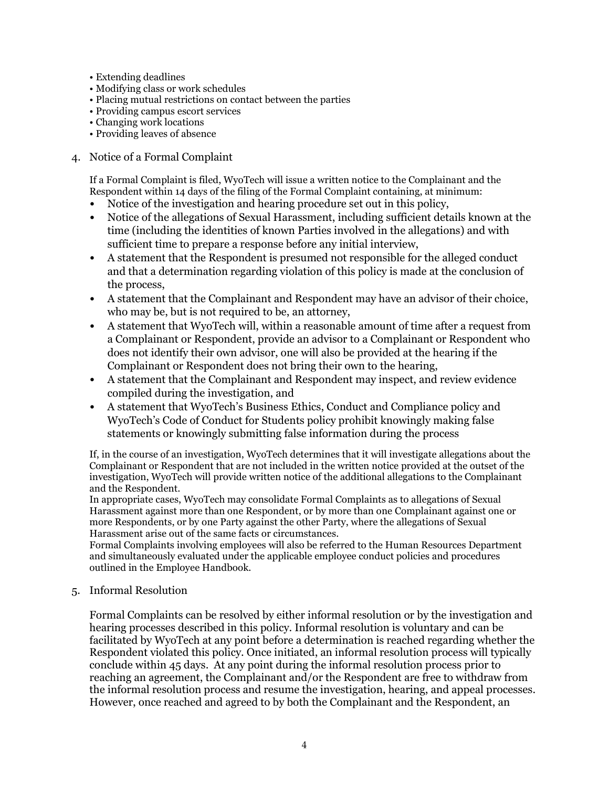- Extending deadlines
- Modifying class or work schedules
- Placing mutual restrictions on contact between the parties
- Providing campus escort services
- Changing work locations
- Providing leaves of absence

#### 4. Notice of a Formal Complaint

If a Formal Complaint is filed, WyoTech will issue a written notice to the Complainant and the Respondent within 14 days of the filing of the Formal Complaint containing, at minimum:

- Notice of the investigation and hearing procedure set out in this policy,
- Notice of the allegations of Sexual Harassment, including sufficient details known at the time (including the identities of known Parties involved in the allegations) and with sufficient time to prepare a response before any initial interview,
- A statement that the Respondent is presumed not responsible for the alleged conduct and that a determination regarding violation of this policy is made at the conclusion of the process,
- A statement that the Complainant and Respondent may have an advisor of their choice, who may be, but is not required to be, an attorney,
- A statement that WyoTech will, within a reasonable amount of time after a request from a Complainant or Respondent, provide an advisor to a Complainant or Respondent who does not identify their own advisor, one will also be provided at the hearing if the Complainant or Respondent does not bring their own to the hearing,
- A statement that the Complainant and Respondent may inspect, and review evidence compiled during the investigation, and
- A statement that WyoTech's Business Ethics, Conduct and Compliance policy and WyoTech's Code of Conduct for Students policy prohibit knowingly making false statements or knowingly submitting false information during the process

If, in the course of an investigation, WyoTech determines that it will investigate allegations about the Complainant or Respondent that are not included in the written notice provided at the outset of the investigation, WyoTech will provide written notice of the additional allegations to the Complainant and the Respondent.

In appropriate cases, WyoTech may consolidate Formal Complaints as to allegations of Sexual Harassment against more than one Respondent, or by more than one Complainant against one or more Respondents, or by one Party against the other Party, where the allegations of Sexual Harassment arise out of the same facts or circumstances.

Formal Complaints involving employees will also be referred to the Human Resources Department and simultaneously evaluated under the applicable employee conduct policies and procedures outlined in the Employee Handbook.

5. Informal Resolution

Formal Complaints can be resolved by either informal resolution or by the investigation and hearing processes described in this policy. Informal resolution is voluntary and can be facilitated by WyoTech at any point before a determination is reached regarding whether the Respondent violated this policy. Once initiated, an informal resolution process will typically conclude within 45 days. At any point during the informal resolution process prior to reaching an agreement, the Complainant and/or the Respondent are free to withdraw from the informal resolution process and resume the investigation, hearing, and appeal processes. However, once reached and agreed to by both the Complainant and the Respondent, an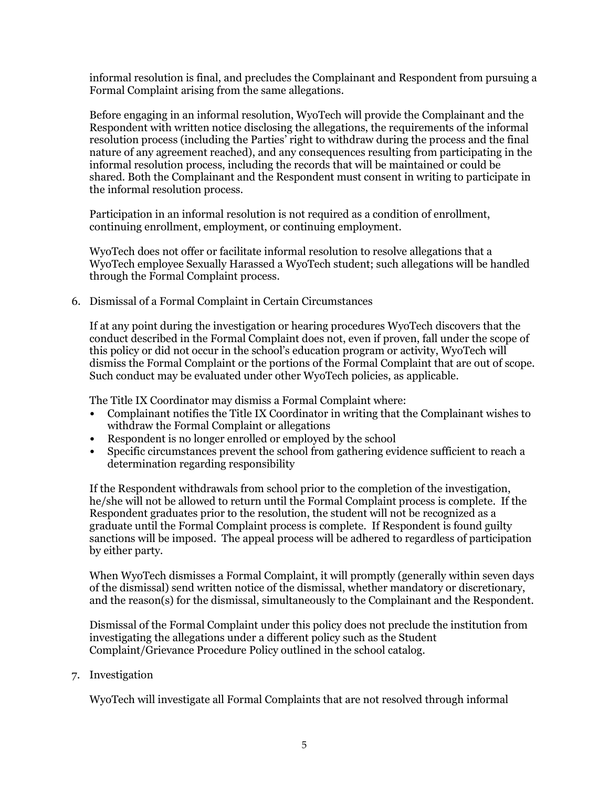informal resolution is final, and precludes the Complainant and Respondent from pursuing a Formal Complaint arising from the same allegations.

Before engaging in an informal resolution, WyoTech will provide the Complainant and the Respondent with written notice disclosing the allegations, the requirements of the informal resolution process (including the Parties' right to withdraw during the process and the final nature of any agreement reached), and any consequences resulting from participating in the informal resolution process, including the records that will be maintained or could be shared. Both the Complainant and the Respondent must consent in writing to participate in the informal resolution process.

Participation in an informal resolution is not required as a condition of enrollment, continuing enrollment, employment, or continuing employment.

WyoTech does not offer or facilitate informal resolution to resolve allegations that a WyoTech employee Sexually Harassed a WyoTech student; such allegations will be handled through the Formal Complaint process.

6. Dismissal of a Formal Complaint in Certain Circumstances

If at any point during the investigation or hearing procedures WyoTech discovers that the conduct described in the Formal Complaint does not, even if proven, fall under the scope of this policy or did not occur in the school's education program or activity, WyoTech will dismiss the Formal Complaint or the portions of the Formal Complaint that are out of scope. Such conduct may be evaluated under other WyoTech policies, as applicable.

The Title IX Coordinator may dismiss a Formal Complaint where:

- Complainant notifies the Title IX Coordinator in writing that the Complainant wishes to withdraw the Formal Complaint or allegations
- Respondent is no longer enrolled or employed by the school
- Specific circumstances prevent the school from gathering evidence sufficient to reach a determination regarding responsibility

If the Respondent withdrawals from school prior to the completion of the investigation, he/she will not be allowed to return until the Formal Complaint process is complete. If the Respondent graduates prior to the resolution, the student will not be recognized as a graduate until the Formal Complaint process is complete. If Respondent is found guilty sanctions will be imposed. The appeal process will be adhered to regardless of participation by either party.

When WyoTech dismisses a Formal Complaint, it will promptly (generally within seven days of the dismissal) send written notice of the dismissal, whether mandatory or discretionary, and the reason(s) for the dismissal, simultaneously to the Complainant and the Respondent.

Dismissal of the Formal Complaint under this policy does not preclude the institution from investigating the allegations under a different policy such as the Student Complaint/Grievance Procedure Policy outlined in the school catalog.

7. Investigation

WyoTech will investigate all Formal Complaints that are not resolved through informal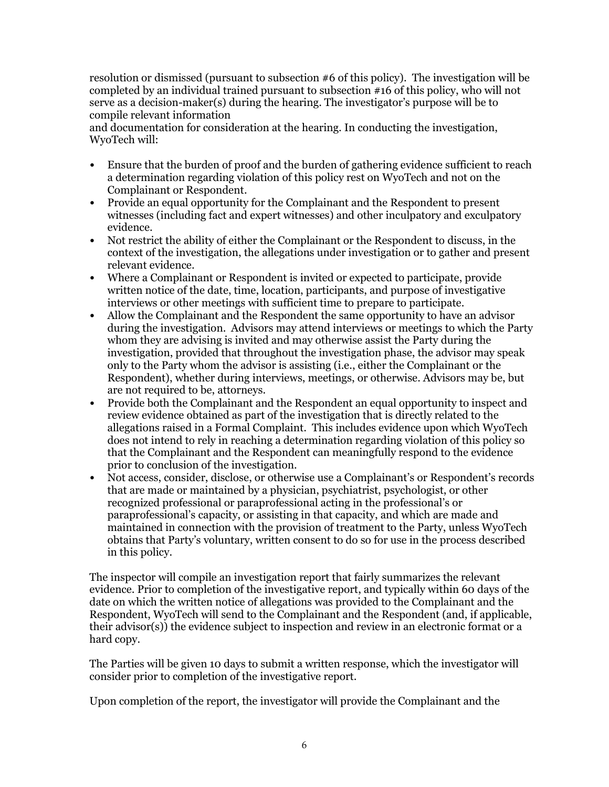resolution or dismissed (pursuant to subsection #6 of this policy). The investigation will be completed by an individual trained pursuant to subsection #16 of this policy, who will not serve as a decision-maker(s) during the hearing. The investigator's purpose will be to compile relevant information

and documentation for consideration at the hearing. In conducting the investigation, WyoTech will:

- Ensure that the burden of proof and the burden of gathering evidence sufficient to reach a determination regarding violation of this policy rest on WyoTech and not on the Complainant or Respondent.
- Provide an equal opportunity for the Complainant and the Respondent to present witnesses (including fact and expert witnesses) and other inculpatory and exculpatory evidence.
- Not restrict the ability of either the Complainant or the Respondent to discuss, in the context of the investigation, the allegations under investigation or to gather and present relevant evidence.
- Where a Complainant or Respondent is invited or expected to participate, provide written notice of the date, time, location, participants, and purpose of investigative interviews or other meetings with sufficient time to prepare to participate.
- Allow the Complainant and the Respondent the same opportunity to have an advisor during the investigation. Advisors may attend interviews or meetings to which the Party whom they are advising is invited and may otherwise assist the Party during the investigation, provided that throughout the investigation phase, the advisor may speak only to the Party whom the advisor is assisting (i.e., either the Complainant or the Respondent), whether during interviews, meetings, or otherwise. Advisors may be, but are not required to be, attorneys.
- Provide both the Complainant and the Respondent an equal opportunity to inspect and review evidence obtained as part of the investigation that is directly related to the allegations raised in a Formal Complaint. This includes evidence upon which WyoTech does not intend to rely in reaching a determination regarding violation of this policy so that the Complainant and the Respondent can meaningfully respond to the evidence prior to conclusion of the investigation.
- Not access, consider, disclose, or otherwise use a Complainant's or Respondent's records that are made or maintained by a physician, psychiatrist, psychologist, or other recognized professional or paraprofessional acting in the professional's or paraprofessional's capacity, or assisting in that capacity, and which are made and maintained in connection with the provision of treatment to the Party, unless WyoTech obtains that Party's voluntary, written consent to do so for use in the process described in this policy.

The inspector will compile an investigation report that fairly summarizes the relevant evidence. Prior to completion of the investigative report, and typically within 60 days of the date on which the written notice of allegations was provided to the Complainant and the Respondent, WyoTech will send to the Complainant and the Respondent (and, if applicable, their advisor(s)) the evidence subject to inspection and review in an electronic format or a hard copy.

The Parties will be given 10 days to submit a written response, which the investigator will consider prior to completion of the investigative report.

Upon completion of the report, the investigator will provide the Complainant and the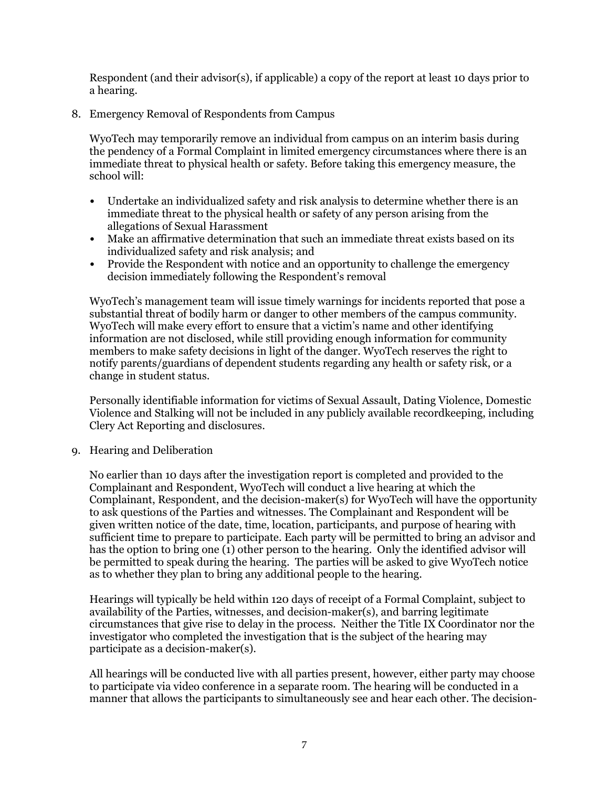Respondent (and their advisor(s), if applicable) a copy of the report at least 10 days prior to a hearing.

8. Emergency Removal of Respondents from Campus

WyoTech may temporarily remove an individual from campus on an interim basis during the pendency of a Formal Complaint in limited emergency circumstances where there is an immediate threat to physical health or safety. Before taking this emergency measure, the school will:

- Undertake an individualized safety and risk analysis to determine whether there is an immediate threat to the physical health or safety of any person arising from the allegations of Sexual Harassment
- Make an affirmative determination that such an immediate threat exists based on its individualized safety and risk analysis; and
- Provide the Respondent with notice and an opportunity to challenge the emergency decision immediately following the Respondent's removal

WyoTech's management team will issue timely warnings for incidents reported that pose a substantial threat of bodily harm or danger to other members of the campus community. WyoTech will make every effort to ensure that a victim's name and other identifying information are not disclosed, while still providing enough information for community members to make safety decisions in light of the danger. WyoTech reserves the right to notify parents/guardians of dependent students regarding any health or safety risk, or a change in student status.

Personally identifiable information for victims of Sexual Assault, Dating Violence, Domestic Violence and Stalking will not be included in any publicly available recordkeeping, including Clery Act Reporting and disclosures.

9. Hearing and Deliberation

No earlier than 10 days after the investigation report is completed and provided to the Complainant and Respondent, WyoTech will conduct a live hearing at which the Complainant, Respondent, and the decision-maker(s) for WyoTech will have the opportunity to ask questions of the Parties and witnesses. The Complainant and Respondent will be given written notice of the date, time, location, participants, and purpose of hearing with sufficient time to prepare to participate. Each party will be permitted to bring an advisor and has the option to bring one (1) other person to the hearing. Only the identified advisor will be permitted to speak during the hearing. The parties will be asked to give WyoTech notice as to whether they plan to bring any additional people to the hearing.

Hearings will typically be held within 120 days of receipt of a Formal Complaint, subject to availability of the Parties, witnesses, and decision-maker(s), and barring legitimate  $circ$  circumstances that give rise to delay in the process. Neither the Title IX Coordinator nor the investigator who completed the investigation that is the subject of the hearing may participate as a decision-maker(s).

All hearings will be conducted live with all parties present, however, either party may choose to participate via video conference in a separate room. The hearing will be conducted in a manner that allows the participants to simultaneously see and hear each other. The decision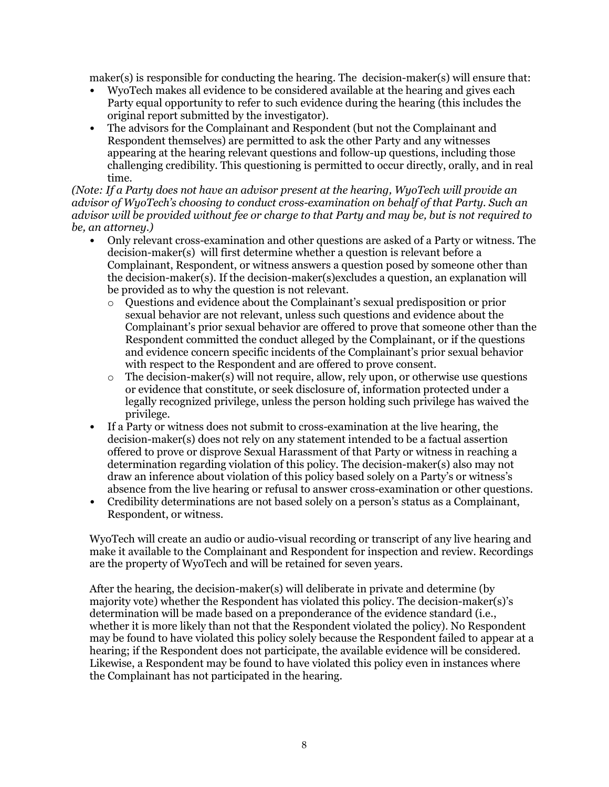maker(s) is responsible for conducting the hearing. The decision-maker(s) will ensure that:

- WyoTech makes all evidence to be considered available at the hearing and gives each Party equal opportunity to refer to such evidence during the hearing (this includes the original report submitted by the investigator).
- The advisors for the Complainant and Respondent (but not the Complainant and Respondent themselves) are permitted to ask the other Party and any witnesses appearing at the hearing relevant questions and follow-up questions, including those challenging credibility. This questioning is permitted to occur directly, orally, and in real time.

*(Note: If a Party does not have an advisor present at the hearing, WyoTech will provide an advisor of WyoTech's choosing to conduct cross-examination on behalf of that Party. Such an advisor will be provided without fee or charge to that Party and may be, but is not required to be, an attorney.)*

- Only relevant cross-examination and other questions are asked of a Party or witness. The decision-maker(s) will first determine whether a question is relevant before a Complainant, Respondent, or witness answers a question posed by someone other than the decision-maker(s). If the decision-maker(s)excludes a question, an explanation will be provided as to why the question is not relevant.
	- o Questions and evidence about the Complainant's sexual predisposition or prior sexual behavior are not relevant, unless such questions and evidence about the Complainant's prior sexual behavior are offered to prove that someone other than the Respondent committed the conduct alleged by the Complainant, or if the questions and evidence concern specific incidents of the Complainant's prior sexual behavior with respect to the Respondent and are offered to prove consent.
	- The decision-maker(s) will not require, allow, rely upon, or otherwise use questions or evidence that constitute, or seek disclosure of, information protected under a legally recognized privilege, unless the person holding such privilege has waived the privilege.
- If a Party or witness does not submit to cross-examination at the live hearing, the decision-maker(s) does not rely on any statement intended to be a factual assertion offered to prove or disprove Sexual Harassment of that Party or witness in reaching a determination regarding violation of this policy. The decision-maker(s) also may not draw an inference about violation of this policy based solely on a Party's or witness's absence from the live hearing or refusal to answer cross-examination or other questions.
- Credibility determinations are not based solely on a person's status as a Complainant, Respondent, or witness.

WyoTech will create an audio or audio-visual recording or transcript of any live hearing and make it available to the Complainant and Respondent for inspection and review. Recordings are the property of WyoTech and will be retained for seven years.

After the hearing, the decision-maker(s) will deliberate in private and determine (by majority vote) whether the Respondent has violated this policy. The decision-maker(s)'s determination will be made based on a preponderance of the evidence standard (i.e., whether it is more likely than not that the Respondent violated the policy). No Respondent may be found to have violated this policy solely because the Respondent failed to appear at a hearing; if the Respondent does not participate, the available evidence will be considered. Likewise, a Respondent may be found to have violated this policy even in instances where the Complainant has not participated in the hearing.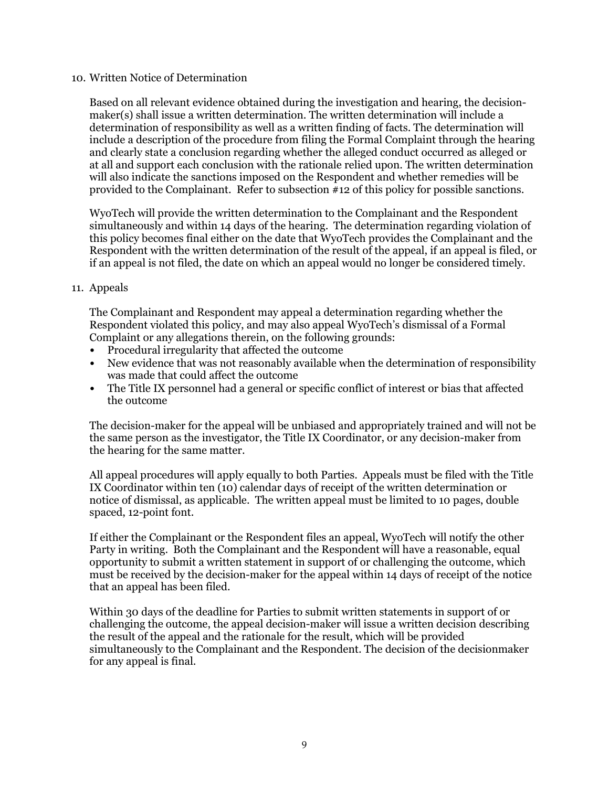### 10. Written Notice of Determination

Based on all relevant evidence obtained during the investigation and hearing, the decisionmaker(s) shall issue a written determination. The written determination will include a determination of responsibility as well as a written finding of facts. The determination will include a description of the procedure from filing the Formal Complaint through the hearing and clearly state a conclusion regarding whether the alleged conduct occurred as alleged or at all and support each conclusion with the rationale relied upon. The written determination will also indicate the sanctions imposed on the Respondent and whether remedies will be provided to the Complainant. Refer to subsection #12 of this policy for possible sanctions.

WyoTech will provide the written determination to the Complainant and the Respondent simultaneously and within 14 days of the hearing. The determination regarding violation of this policy becomes final either on the date that WyoTech provides the Complainant and the Respondent with the written determination of the result of the appeal, if an appeal is filed, or if an appeal is not filed, the date on which an appeal would no longer be considered timely.

### 11. Appeals

The Complainant and Respondent may appeal a determination regarding whether the Respondent violated this policy, and may also appeal WyoTech's dismissal of a Formal Complaint or any allegations therein, on the following grounds:

- Procedural irregularity that affected the outcome
- New evidence that was not reasonably available when the determination of responsibility was made that could affect the outcome
- The Title IX personnel had a general or specific conflict of interest or bias that affected the outcome

The decision-maker for the appeal will be unbiased and appropriately trained and will not be the same person as the investigator, the Title IX Coordinator, or any decision-maker from the hearing for the same matter.

All appeal procedures will apply equally to both Parties. Appeals must be filed with the Title IX Coordinator within ten (10) calendar days of receipt of the written determination or notice of dismissal, as applicable. The written appeal must be limited to 10 pages, double spaced, 12-point font.

If either the Complainant or the Respondent files an appeal, WyoTech will notify the other Party in writing. Both the Complainant and the Respondent will have a reasonable, equal opportunity to submit a written statement in support of or challenging the outcome, which must be received by the decision-maker for the appeal within 14 days of receipt of the notice that an appeal has been filed.

Within 30 days of the deadline for Parties to submit written statements in support of or challenging the outcome, the appeal decision-maker will issue a written decision describing the result of the appeal and the rationale for the result, which will be provided simultaneously to the Complainant and the Respondent. The decision of the decisionmaker for any appeal is final.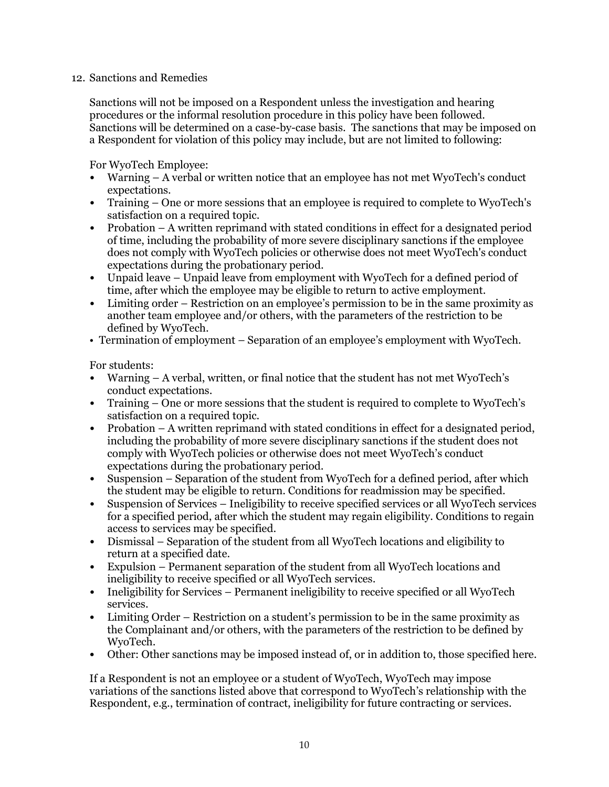## 12. Sanctions and Remedies

Sanctions will not be imposed on a Respondent unless the investigation and hearing procedures or the informal resolution procedure in this policy have been followed. Sanctions will be determined on a case-by-case basis. The sanctions that may be imposed on a Respondent for violation of this policy may include, but are not limited to following:

For WyoTech Employee:

- Warning A verbal or written notice that an employee has not met WyoTech's conduct expectations.
- Training One or more sessions that an employee is required to complete to WyoTech's satisfaction on a required topic.
- Probation  $-A$  written reprimand with stated conditions in effect for a designated period of time, including the probability of more severe disciplinary sanctions if the employee does not comply with WyoTech policies or otherwise does not meet WyoTech's conduct expectations during the probationary period.
- Unpaid leave Unpaid leave from employment with WyoTech for a defined period of time, after which the employee may be eligible to return to active employment.
- Limiting order Restriction on an employee's permission to be in the same proximity as another team employee and/or others, with the parameters of the restriction to be defined by WyoTech.
- Termination of employment Separation of an employee's employment with WyoTech.

For students:

- Warning A verbal, written, or final notice that the student has not met WyoTech's conduct expectations.
- Training One or more sessions that the student is required to complete to WyoTech's satisfaction on a required topic.
- Probation  $-A$  written reprimand with stated conditions in effect for a designated period, including the probability of more severe disciplinary sanctions if the student does not comply with WyoTech policies or otherwise does not meet WyoTech's conduct expectations during the probationary period.
- Suspension Separation of the student from WyoTech for a defined period, after which the student may be eligible to return. Conditions for readmission may be specified.
- Suspension of Services Ineligibility to receive specified services or all WyoTech services for a specified period, after which the student may regain eligibility. Conditions to regain access to services may be specified.
- Dismissal Separation of the student from all WyoTech locations and eligibility to return at a specified date.
- Expulsion Permanent separation of the student from all WyoTech locations and ineligibility to receive specified or all WyoTech services.
- Ineligibility for Services Permanent ineligibility to receive specified or all WyoTech services.
- Limiting Order Restriction on a student's permission to be in the same proximity as the Complainant and/or others, with the parameters of the restriction to be defined by WyoTech.
- Other: Other sanctions may be imposed instead of, or in addition to, those specified here.

If a Respondent is not an employee or a student of WyoTech, WyoTech may impose variations of the sanctions listed above that correspond to WyoTech's relationship with the Respondent, e.g., termination of contract, ineligibility for future contracting or services.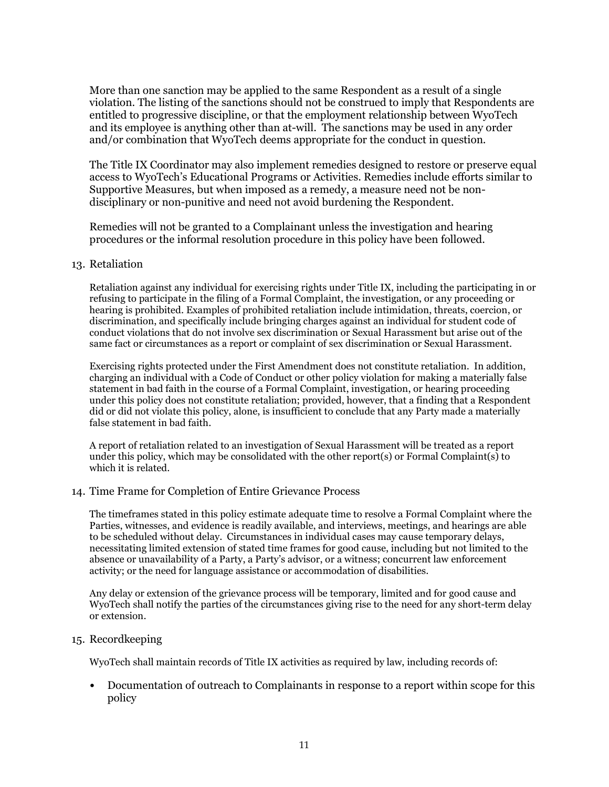More than one sanction may be applied to the same Respondent as a result of a single violation. The listing of the sanctions should not be construed to imply that Respondents are entitled to progressive discipline, or that the employment relationship between WyoTech and its employee is anything other than at-will. The sanctions may be used in any order and/or combination that WyoTech deems appropriate for the conduct in question.

The Title IX Coordinator may also implement remedies designed to restore or preserve equal access to WyoTech's Educational Programs or Activities. Remedies include efforts similar to Supportive Measures, but when imposed as a remedy, a measure need not be nondisciplinary or non-punitive and need not avoid burdening the Respondent.

Remedies will not be granted to a Complainant unless the investigation and hearing procedures or the informal resolution procedure in this policy have been followed.

#### 13. Retaliation

Retaliation against any individual for exercising rights under Title IX, including the participating in or refusing to participate in the filing of a Formal Complaint, the investigation, or any proceeding or hearing is prohibited. Examples of prohibited retaliation include intimidation, threats, coercion, or discrimination, and specifically include bringing charges against an individual for student code of conduct violations that do not involve sex discrimination or Sexual Harassment but arise out of the same fact or circumstances as a report or complaint of sex discrimination or Sexual Harassment.

Exercising rights protected under the First Amendment does not constitute retaliation. In addition, charging an individual with a Code of Conduct or other policy violation for making a materially false statement in bad faith in the course of a Formal Complaint, investigation, or hearing proceeding under this policy does not constitute retaliation; provided, however, that a finding that a Respondent did or did not violate this policy, alone, is insufficient to conclude that any Party made a materially false statement in bad faith.

A report of retaliation related to an investigation of Sexual Harassment will be treated as a report under this policy, which may be consolidated with the other report(s) or Formal Complaint(s) to which it is related.

#### 14. Time Frame for Completion of Entire Grievance Process

The timeframes stated in this policy estimate adequate time to resolve a Formal Complaint where the Parties, witnesses, and evidence is readily available, and interviews, meetings, and hearings are able to be scheduled without delay. Circumstances in individual cases may cause temporary delays, necessitating limited extension of stated time frames for good cause, including but not limited to the absence or unavailability of a Party, a Party's advisor, or a witness; concurrent law enforcement activity; or the need for language assistance or accommodation of disabilities.

Any delay or extension of the grievance process will be temporary, limited and for good cause and WyoTech shall notify the parties of the circumstances giving rise to the need for any short-term delay or extension.

### 15. Recordkeeping

WyoTech shall maintain records of Title IX activities as required by law, including records of:

• Documentation of outreach to Complainants in response to a report within scope for this policy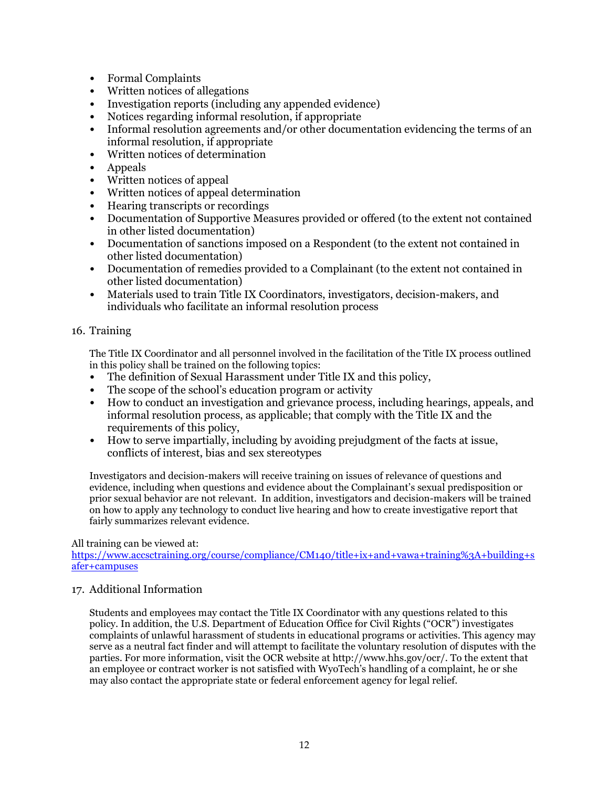- Formal Complaints
- Written notices of allegations
- Investigation reports (including any appended evidence)
- Notices regarding informal resolution, if appropriate
- Informal resolution agreements and/or other documentation evidencing the terms of an informal resolution, if appropriate
- Written notices of determination
- Appeals
- Written notices of appeal
- Written notices of appeal determination
- Hearing transcripts or recordings
- Documentation of Supportive Measures provided or offered (to the extent not contained in other listed documentation)
- Documentation of sanctions imposed on a Respondent (to the extent not contained in other listed documentation)
- Documentation of remedies provided to a Complainant (to the extent not contained in other listed documentation)
- Materials used to train Title IX Coordinators, investigators, decision-makers, and individuals who facilitate an informal resolution process

# 16. Training

The Title IX Coordinator and all personnel involved in the facilitation of the Title IX process outlined in this policy shall be trained on the following topics:

- The definition of Sexual Harassment under Title IX and this policy,
- The scope of the school's education program or activity
- How to conduct an investigation and grievance process, including hearings, appeals, and informal resolution process, as applicable; that comply with the Title IX and the requirements of this policy,
- How to serve impartially, including by avoiding prejudgment of the facts at issue, conflicts of interest, bias and sex stereotypes

Investigators and decision-makers will receive training on issues of relevance of questions and evidence, including when questions and evidence about the Complainant's sexual predisposition or prior sexual behavior are not relevant. In addition, investigators and decision-makers will be trained on how to apply any technology to conduct live hearing and how to create investigative report that fairly summarizes relevant evidence.

All training can be viewed at:

[https://www.accsctraining.org/course/compliance/CM140/title+ix+and+vawa+training%3A+building+s](https://www.accsctraining.org/course/compliance/CM140/title+ix+and+vawa+training%3A+building+safer+campuses) [afer+campuses](https://www.accsctraining.org/course/compliance/CM140/title+ix+and+vawa+training%3A+building+safer+campuses)

# 17. Additional Information

Students and employees may contact the Title IX Coordinator with any questions related to this policy. In addition, the U.S. Department of Education Office for Civil Rights ("OCR") investigates complaints of unlawful harassment of students in educational programs or activities. This agency may serve as a neutral fact finder and will attempt to facilitate the voluntary resolution of disputes with the parties. For more information, visit the OCR website at http://www.hhs.gov/ocr/. To the extent that an employee or contract worker is not satisfied with WyoTech's handling of a complaint, he or she may also contact the appropriate state or federal enforcement agency for legal relief.